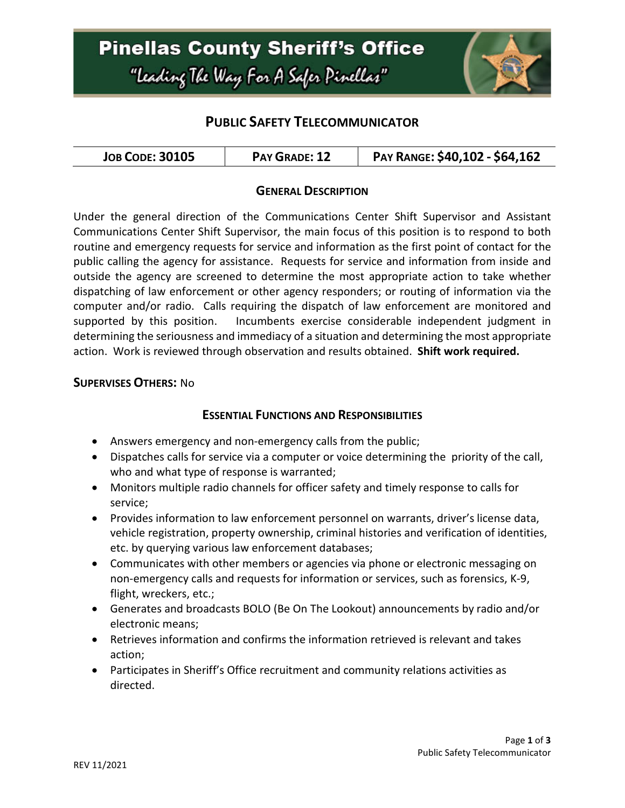# **Pinellas County Sheriff's Office** "Leading The Way For A Safer Pinellar"



### **PUBLIC SAFETY TELECOMMUNICATOR**

| <b>JOB CODE: 30105</b><br>PAY GRADE: 12 | PAY RANGE: \$40,102 - \$64,162 |
|-----------------------------------------|--------------------------------|
|-----------------------------------------|--------------------------------|

#### **GENERAL DESCRIPTION**

Under the general direction of the Communications Center Shift Supervisor and Assistant Communications Center Shift Supervisor, the main focus of this position is to respond to both routine and emergency requests for service and information as the first point of contact for the public calling the agency for assistance. Requests for service and information from inside and outside the agency are screened to determine the most appropriate action to take whether dispatching of law enforcement or other agency responders; or routing of information via the computer and/or radio. Calls requiring the dispatch of law enforcement are monitored and supported by this position. Incumbents exercise considerable independent judgment in determining the seriousness and immediacy of a situation and determining the most appropriate action. Work is reviewed through observation and results obtained. **Shift work required.**

#### **SUPERVISES OTHERS:** No

#### **ESSENTIAL FUNCTIONS AND RESPONSIBILITIES**

- Answers emergency and non-emergency calls from the public;
- Dispatches calls for service via a computer or voice determining the priority of the call, who and what type of response is warranted;
- Monitors multiple radio channels for officer safety and timely response to calls for service;
- Provides information to law enforcement personnel on warrants, driver's license data, vehicle registration, property ownership, criminal histories and verification of identities, etc. by querying various law enforcement databases;
- Communicates with other members or agencies via phone or electronic messaging on non-emergency calls and requests for information or services, such as forensics, K-9, flight, wreckers, etc.;
- Generates and broadcasts BOLO (Be On The Lookout) announcements by radio and/or electronic means;
- Retrieves information and confirms the information retrieved is relevant and takes action;
- Participates in Sheriff's Office recruitment and community relations activities as directed.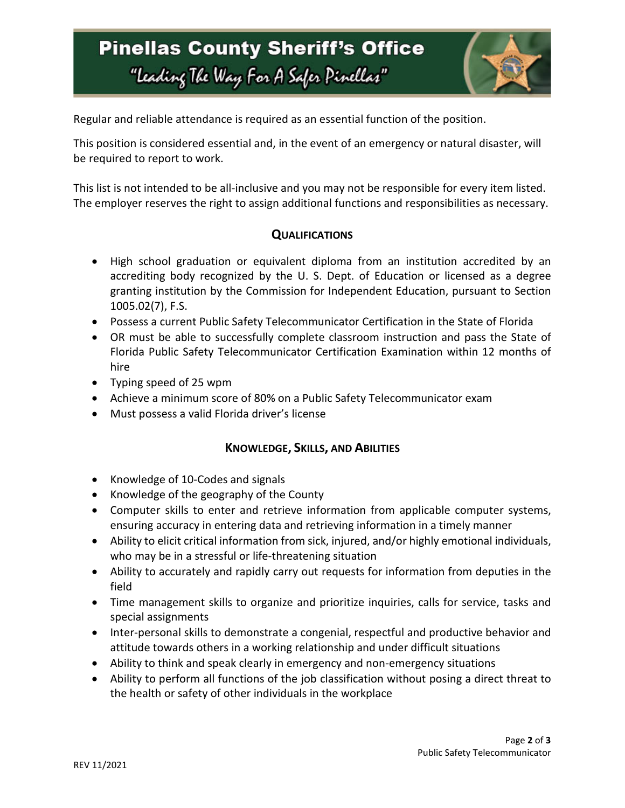# **Pinellas County Sheriff's Office** "Leading The Way For A Safer Pinellar"



Regular and reliable attendance is required as an essential function of the position.

This position is considered essential and, in the event of an emergency or natural disaster, will be required to report to work.

This list is not intended to be all-inclusive and you may not be responsible for every item listed. The employer reserves the right to assign additional functions and responsibilities as necessary.

### **QUALIFICATIONS**

- High school graduation or equivalent diploma from an institution accredited by an accrediting body recognized by the U. S. Dept. of Education or licensed as a degree granting institution by the Commission for Independent Education, pursuant to Section 1005.02(7), F.S.
- Possess a current Public Safety Telecommunicator Certification in the State of Florida
- OR must be able to successfully complete classroom instruction and pass the State of Florida Public Safety Telecommunicator Certification Examination within 12 months of hire
- Typing speed of 25 wpm
- Achieve a minimum score of 80% on a Public Safety Telecommunicator exam
- Must possess a valid Florida driver's license

### **KNOWLEDGE, SKILLS, AND ABILITIES**

- Knowledge of 10-Codes and signals
- Knowledge of the geography of the County
- Computer skills to enter and retrieve information from applicable computer systems, ensuring accuracy in entering data and retrieving information in a timely manner
- Ability to elicit critical information from sick, injured, and/or highly emotional individuals, who may be in a stressful or life-threatening situation
- Ability to accurately and rapidly carry out requests for information from deputies in the field
- Time management skills to organize and prioritize inquiries, calls for service, tasks and special assignments
- Inter-personal skills to demonstrate a congenial, respectful and productive behavior and attitude towards others in a working relationship and under difficult situations
- Ability to think and speak clearly in emergency and non-emergency situations
- Ability to perform all functions of the job classification without posing a direct threat to the health or safety of other individuals in the workplace